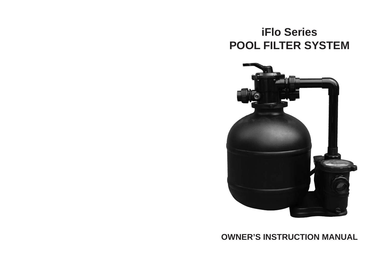# **iFlo Series POOL FILTER SYSTEM**



**OWNER'S INSTRUCTION MANUAL**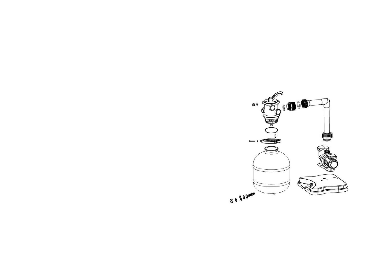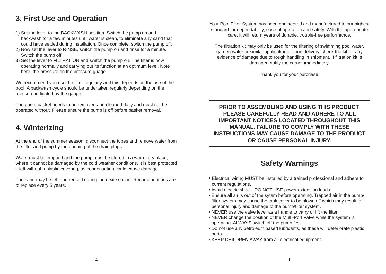## **3. First Use and Operation**

- 1) Set the lever to the BACKWASH position. Switch the pump on and backwash for a few minutes until water is clean, to eliminate any sand that could have settled during installation. Once complete, switch the pump off.
- 2) Now set the lever to RINSE, switch the pump on and rinse for a minute. Switch the pump off.
- 3) Set the lever to FILTRATION and switch the pump on. The filter is now operating normally and carrying out its function at an optimum level. Note here, the pressure on the pressure guage.

We recommend you use the filter regularly and this depends on the use of the pool. A backwash cycle should be undertaken regularly depending on the pressure indicated by the gauge.

The pump basket needs to be removed and cleaned daily and must not be operated without. Please ensure the pump is off before basket removal.

### **4. Winterizing**

At the end of the summer season, disconnect the tubes and remove water from the filter and pump by the opening of the drain plugs.

Water must be emptied and the pump must be stored in a warm, dry place, where it cannot be damaged by the cold weather conditions. It is best protected if left without a plastic covering, as condensation could cause damage.

The sand may be left and reused during the next season. Recomendations are to replace every 5 years.

Your Pool Filter System has been engineered and manufactured to our highest standard for dependability, ease of operation and safety. With the appropriate care, it will return years of durable, trouble-free performance.

The filtration kit may only be used for the filtering of swimming pool water, garden water or similar applications. Upon delivery, check the kit for any evidence of damage due to rough handling in shipment. If filtration kit is damaged notify the carrier immediately.

Thank you for your purchase.

**PRIOR TO ASSEMBLING AND USING THIS PRODUCT, PLEASE CAREFULLY READ AND ADHERE TO ALL IMPORTANT NOTICES LOCATED THROUGHOUT THIS MANUAL. FAILURE TO COMPLY WITH THESE INSTRUCTIONS MAY CAUSE DAMAGE TO THE PRODUCT OR CAUSE PERSONAL INJURY.**

#### **Safety Warnings**

- Electrical wiring MUST be installed by a trained professional and adhere to current regulations.
- Avoid electric shock. DO NOT USE power extension leads.
- Ensure all air is out of the sytem before operating. Trapped air in the pump/ filter system may cause the tank cover to be blown off which may result in personal injury and damage to the pump/filter system.
- NEVER use the valve lever as a handle to carry or lift the filter.
- NEVER change the position of the Multi-Port Valve while the system is operating. ALWAYS switch off the pump first.
- Do not use any petroleum based lubricants, as these will deteriorate plastic parts.
- KEEP CHILDREN AWAY from all electrical equipment.